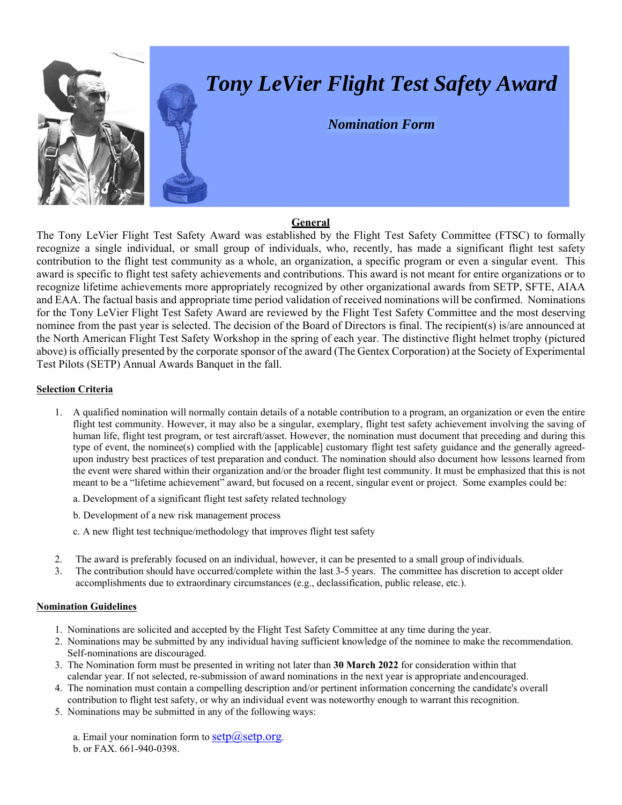

## *Tony LeVier Flight Test Safety Award*

*Nomination Form*

## **General**

The Tony LeVier Flight Test Safety Award was established by the Flight Test Safety Committee (FTSC) to formally recognize a single individual, or small group of individuals, who, recently, has made a significant flight test safety contribution to the flight test community as a whole, an organization, a specific program or even a singular event. This award is specific to flight test safety achievements and contributions. This award is not meant for entire organizations or to recognize lifetime achievements more appropriately recognized by other organizational awards from SETP, SFTE, AIAA and EAA. The factual basis and appropriate time period validation of received nominations will be confirmed. Nominations for the Tony LeVier Flight Test Safety Award are reviewed by the Flight Test Safety Committee and the most deserving nominee from the past year is selected. The decision of the Board of Directors is final. The recipient(s) is/are announced at the North American Flight Test Safety Workshop in the spring of each year. The distinctive flight helmet trophy (pictured above) is officially presented by the corporate sponsor of the award (The Gentex Corporation) at the Society of Experimental Test Pilots (SETP) Annual Awards Banquet in the fall.

## **Selection Criteria**

- 1. A qualified nomination will normally contain details of a notable contribution to a program, an organization or even the entire flight test community. However, it may also be a singular, exemplary, flight test safety achievement involving the saving of human life, flight test program, or test aircraft/asset. However, the nomination must document that preceding and during this type of event, the nominee(s) complied with the [applicable] customary flight test safety guidance and the generally agreedupon industry best practices of test preparation and conduct. The nomination should also document how lessons learned from the event were shared within their organization and/or the broader flight test community. It must be emphasized that this is not meant to be a "lifetime achievement" award, but focused on a recent, singular event or project. Some examples could be:
	- a. Development of a significant flight test safety related technology
	- b. Development of a new risk management process
	- c. A new flight test technique/methodology that improves flight test safety
- 2. The award is preferably focused on an individual, however, it can be presented to a small group of individuals.
- 3. The contribution should have occurred/complete within the last 3-5 years. The committee has discretion to accept older accomplishments due to extraordinary circumstances (e.g., declassification, public release, etc.).

## **Nomination Guidelines**

- 1. Nominations are solicited and accepted by the Flight Test Safety Committee at any time during the year.
- 2. Nominations may be submitted by any individual having sufficient knowledge of the nominee to make the recommendation. Self-nominations are discouraged.
- 3. The Nomination form must be presented in writing not later than **30 March 2022** for consideration within that calendar year. If not selected, re-submission of award nominations in the next year is appropriate and encouraged.
- 4. The nomination must contain a compelling description and/or pertinent information concerning the candidate's overall contribution to flight test safety, or why an individual event was noteworthy enough to warrant this recognition.
- 5. Nominations may be submitted in any of the following ways:

a. Email your nomination form to  $setp(\hat{a})setp.org$ . b. or FAX. 661-940-0398.